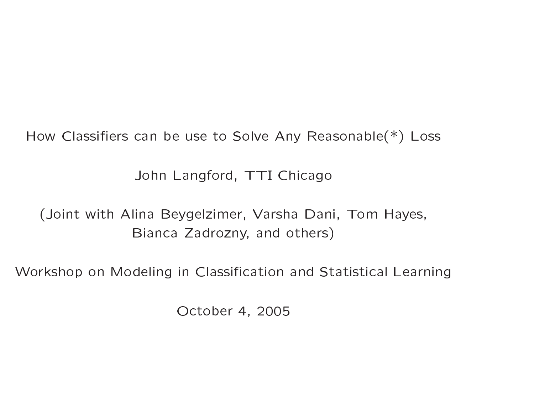How Classifiers can be use to Solve Any Reasonable $(*)$  Loss

John Langford, TTI Chicago

(Joint with Alina Beygelzimer, Varsha Dani, Tom Hayes, Bianca Zadrozny, and others)

Workshop on Modeling in Classification and Statistical Learning

October 4, 2005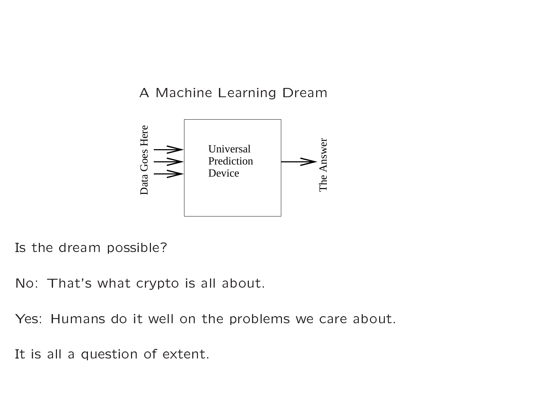## A Machine Learning Dream



Is the dream possible?

No: That's what crypto is all about.

Yes: Humans do it well on the problems we care about.

It is all a question of extent.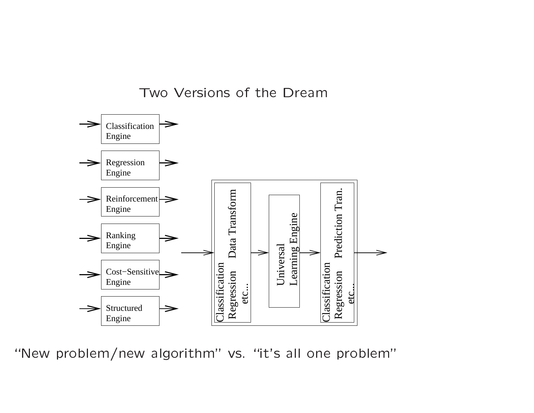Two Versions of the Dream



"New problem/new algorithm" vs. "it's all one problem"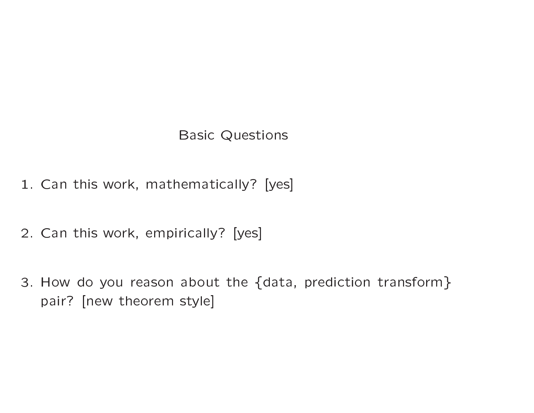#### **Basic Questions**

- 1. Can this work, mathematically? [yes]
- 2. Can this work, empirically? [yes]
- 3. How do you reason about the {data, prediction transform} pair? [new theorem style]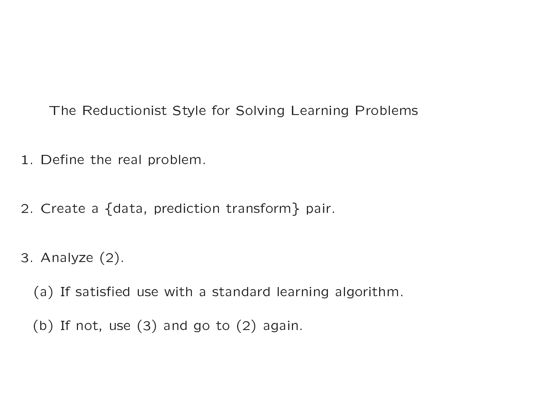The Reductionist Style for Solving Learning Problems

- 1. Define the real problem.
- 2. Create a {data, prediction transform} pair.
- 3. Analyze  $(2)$ .

(a) If satisfied use with a standard learning algorithm.

(b) If not, use  $(3)$  and go to  $(2)$  again.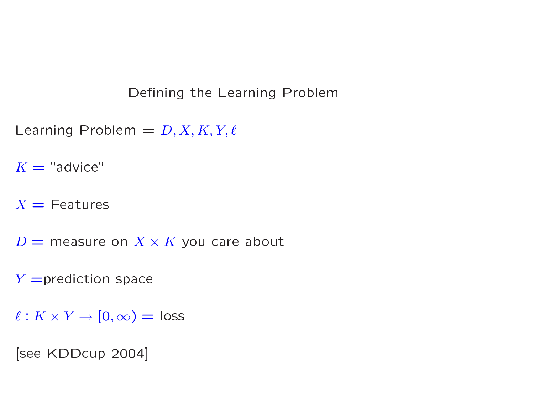Defining the Learning Problem

Learning Problem =  $D, X, K, Y, \ell$ 

 $K = "advice"$ 

 $X =$ Features

 $D =$  measure on  $X \times K$  you care about

 $Y =$ prediction space

 $\ell: K \times Y \to [0, \infty) = \text{loss}$ 

[see KDDcup 2004]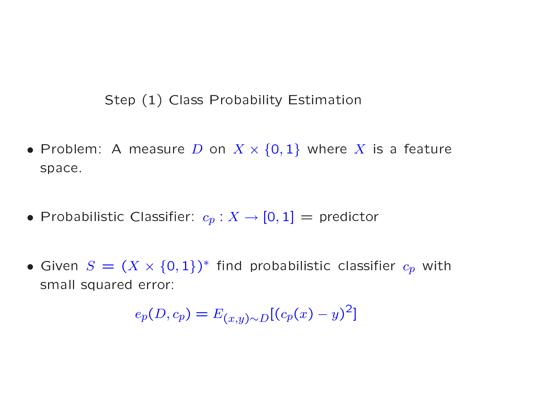# Step (1) Class Probability Estimatio  $\overline{a}$

- Step (1) Class Probability Estimation<br>• Problem: A measure D on  $X \times \{0,1\}$  where X is a feature space.  $rac{1}{\sqrt{1}}$ • Problem: A measure D on  $X \times \{0, 1\}$  where X<br>space.<br>• Probabilistic Classifier:  $c_p : X \to [0, 1] =$  predicto
- $\frac{1}{2}$ Publistic Classifier:  $c_p: X \to [0,1] = \text{predictor}$ <br>  $S = (X \times \{0,1\})^*$  find probabilistic classifie
- Probabilistic Classifier:  $c_p : X \to [0, 1] =$  predictor<br>• Given  $S = (X \times \{0, 1\})^*$  find probabilistic classifier  $c_p$  with  $S = \begin{pmatrix} 1 & 0 & 0 \\ 0 & 0 & 0 \\ 0 & 0 & 0 \\ 0 & 0 & 0 \\ 0 & 0 & 0 \\ 0 & 0 & 0 \\ 0 & 0 & 0 \\ 0 & 0 & 0 \\ 0 & 0 & 0 \\ 0 & 0 & 0 \\ 0 & 0 & 0 \\ 0 & 0 & 0 \\ 0 & 0 & 0 \\ 0 & 0 & 0 & 0 \\ 0 & 0 & 0 & 0 \\ 0 & 0 & 0 & 0 \\ 0 & 0 & 0 & 0 \\ 0 & 0 & 0 & 0 & 0 \\ 0 & 0 & 0 & 0 & 0 \\ 0 & 0 & 0 & 0 & 0 \\ 0$ small squared error: 0<br>r:

 $e_p(D, c_p) = E_{(x,y)\sim D}[(c_p(x) - y)^2]$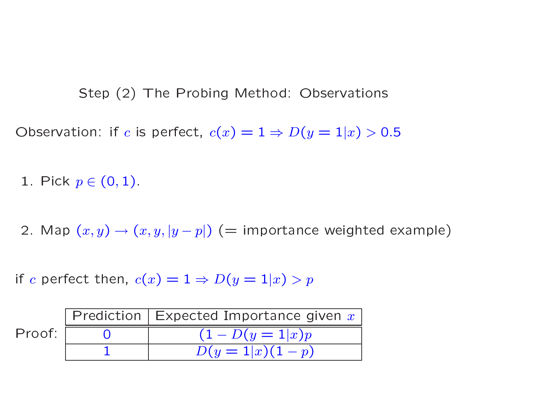Step (2) The Probing Method: Observations<br>
Step (2) The Probing Method: Observations

Step (2) The Probing Method: Observations<br>Observation: if c is perfect,  $c(x) = 1 \Rightarrow D(y = 1|x) > 0.5$ Dbservation: if  $c$  i<br>1. Pick  $p \in (0, 1)$ .

Dbservation: if  $c$  is perfect,  $c(x) = 1 \Rightarrow D(y = 1 | x) > 0.5$ <br>1. Pick  $p \in (0,1).$ <br>2. Map  $(x,y) \rightarrow (x, y, |y-p|)$  (= importance weighted example  $\begin{bmatrix} 1 \ 1 \end{bmatrix}$ 

Let then,  $c(x) = 1 \Rightarrow D(y = 1|x) > p$  $c(x) = 1 \Rightarrow D(y =$ <br>
n Expected Impo

| if $c$ perfect then, $c(x) = 1 \Rightarrow D(y = 1   x) > p$ |  |                                            |
|--------------------------------------------------------------|--|--------------------------------------------|
|                                                              |  | Prediction   Expected Importance given $x$ |
| Proof:                                                       |  | $(1-D(y=1 x)p)$                            |
|                                                              |  | $D(y=1 x)(1-p)$                            |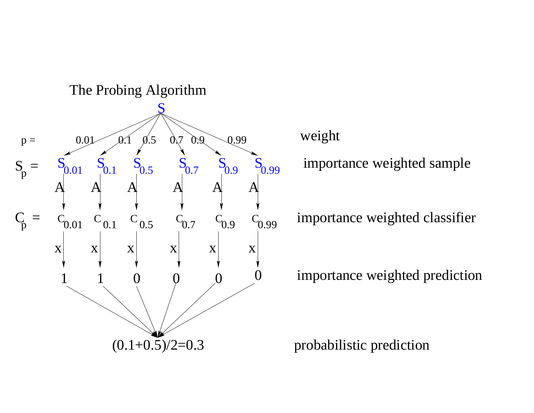

weight

importance weighted sample

importance weighted classifier

importance weighted prediction

probabilistic prediction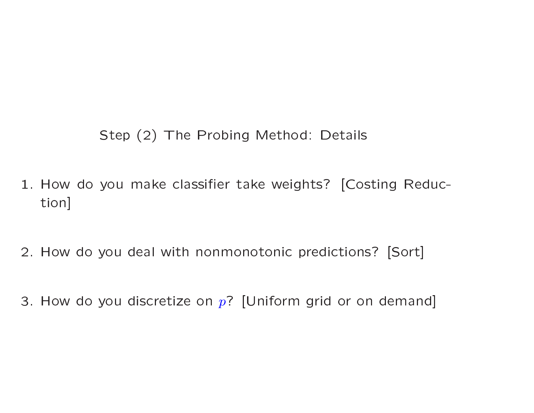Step (2) The Probing Method: Details

- 1. How do you make classifier take weights? [Costing Reduction]
- 2. How do you deal with nonmonotonic predictions? [Sort]
- 3. How do you discretize on  $p$ ? [Uniform grid or on demand]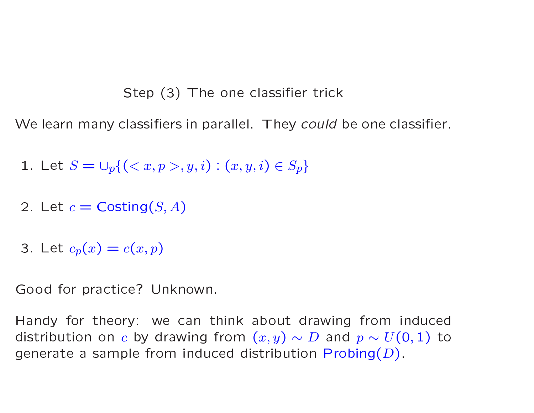# Step (3) The one classifier trick

We learn many classifiers in parallel. They could be one classifier.

1. Let 
$$
S = \bigcup_p \{ (x, p > 0, y, i) : (x, y, i) \in S_p \}
$$

- 2. Let  $c = \text{Costing}(S, A)$
- 3. Let  $c_p(x) = c(x, p)$

Good for practice? Unknown.

Handy for theory: we can think about drawing from induced distribution on c by drawing from  $(x, y) \sim D$  and  $p \sim U(0, 1)$  to generate a sample from induced distribution  $Probability(D)$ .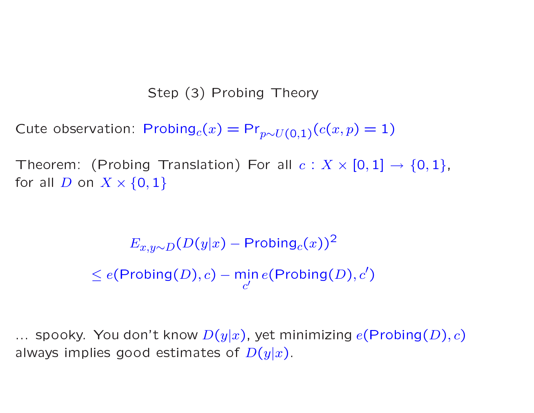# Step (3) Probing Theory

Cute observation:  $Probability_C(x) = Pr_{p \sim U(0,1)}(c(x,p) = 1)$ 

Theorem: (Probing Translation) For all  $c: X \times [0,1] \rightarrow \{0,1\}$ , for all D on  $X \times \{0,1\}$ 

> $E_{x,y\sim D}(D(y|x) - \text{Probing}_c(x))^2$  $0 \le e(\mathsf{Probing}(D), c) - \min_{c'} e(\mathsf{Probing}(D), c')$

... spooky. You don't know  $D(y|x)$ , yet minimizing  $e(\mathsf{Probing}(D), c)$ always implies good estimates of  $D(y|x)$ .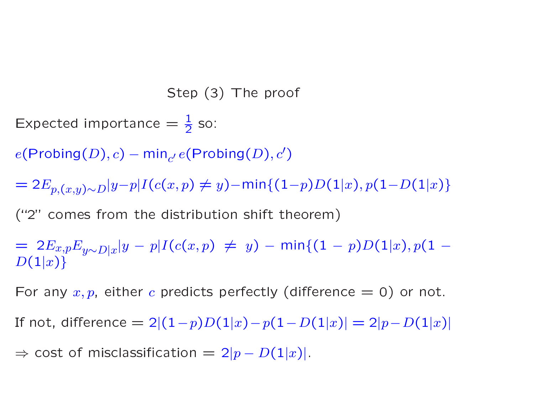Step (3) The proo  $\mathsf{f}$ 

Step (<br>
Step (<br>
Expected importance  $=\frac{1}{2}$  so 3

 $e(\mathsf{Probing}(D), c) - \mathsf{min}_{c'}\, e(\mathsf{Probing}(D), c')$ 

 $= 2E_{p,(x,y)\sim D}|y-p|I(c(x,p) \neq y)$ −min $\{(1\!\!-\!\!p)D(1|x),p(1\!\!-\!\!D(1|x)\}$  $\begin{split} &e(\mathsf{Probing} (D), c) - \mathsf{min}_{c'}\, e(\mathsf{Probing} (D), c')\ & = 2 E_{p, (x, y) \sim D} |y{-}p| I(c(x, p) \neq y) {-} \mathsf{min}\{(1{-}p)D(1)\} \end{split}$ ("2" comes from the distribution shift theorem)  $\begin{align} \text{prtanci} \ \text{m} &\to p |I(\text{m the}) \end{align}$ 

mes from the distribution shift theore

 $-2p,(x,y)\sim D\{y\}$   $F\{1\}$  ( $\infty$ , $F\}$ )  $\}$   $\sim$   $\sim$   $(1-\omega)$ ,  $F\{2\}$   $\sim$   $(1-\omega)$ ,  $\sim$   $(1-\omega)$ <br>  $\sim$  2E<sub>x, $p$ </sub>E<sub>y∼D|x</sub>|y − p| $I(c(x, p) \neq y)$  − min{(1 − p)D(1|x), p(1 − D(1|x)}<br>  $\sim$  D(1|x)}<br>
For any x, p, either c pre  $D(1|x)$  $\begin{split} \mathcal{L}(1|x) = 2 E_{x,p} E_{y\sim D|x} |y-p| I(c(x,p) \neq y) - \mathsf{min} \{ (1-p) D(1|x), p(1-p) | z \} \ \mathcal{L}(1|x) \} \end{split}$  For any  $x,p$ , either  $c$  predicts perfectly (difference  $=0$ ) or not.  $p = p\left[\frac{P(z(x, p) \neq y) - \min\{(1-p)D(1|x), p(1-p)\}}{p(1-p)}\right]$ <br>
Der c predicts perfectly (difference = 0) or not.<br>  $p = 2\left[(1-p)D(1|x) - p(1-D(1|x))\right] = 2|p - D(1|x)|$  $\{x, p \in y \sim D | x | s-p \in (\infty, P) \}$ <br>  $\{x, p, e$  ither c predicts perfectly (difform  $x, p$ , either c predicts perfectly (difform)<br>  $\{x, f\}$  of misclassification  $= 2|p - D(1|x)|.$ 

For<br>If no

any  $x,p$ , eith ${\sf t}$ , difference

 $\Rightarrow$  cost of misclassification  $= 2|p - D(1|x)|$ .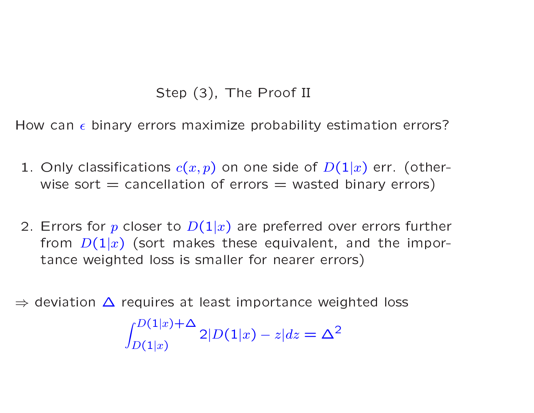# Step (3), The Proof II tep (3), Th<br>rs maximize

Step (3), The Proof II<br>How can  $\epsilon$  binary errors maximize probability estimation errors? ze<br>n o

- flow can  $\epsilon$  binary errors maximize probability estimation errors<br>1. Only classifications  $c(x,p)$  on one side of  $D(1|x)$  err. (othe :<br>rwise sort  $=$  cancellation of errors  $=$  wasted binary erro<br>Errors for  $p$  closer to  $D(1|x)$  are preferred over errors fu Step (3), The Proof II<br>binary errors maximize probability estimation error<br>assifications  $c(x, p)$  on one side of  $D(1|x)$  err. (other<br> $rt$  = cancellation of errors = wasted binary errors) f *D*<br>stec<br>d o
- wise sort  $=$  cancellation of errors  $=$  wasted binary errors)<br>2. Errors for  $p$  closer to  $D(1|x)$  are preferred over errors furthe  $\overline{r}$ from  $D(1|x)$  (sort makes these equivalent, and the impo Ily classification<br>ie sort = cand<br>ors for p close<br>m  $D(1|x)$  (so Elation of errors  $=$  wasted binary e<br>er to  $D(1|x)$  are preferred over errors<br>rt makes these equivalent, and the er<br>rtance weighted loss is smaller for nearer erro oser to  $D(1|x)$  are preferred over<br>
(sort makes these equivalent, and<br>
d loss is smaller for nearer errors) tance weighted loss is smaller for nearer errors)<br>  $\Rightarrow$  deviation  $\Delta$  requires at least importance weighted loss  $D(1|x)$  (sort make:<br>veighted loss is sn<br>n  $\Delta$  requires at le th<br>d lo

 $\int_{D(1|x)}^{D(1|x)+\Delta}$  $D(1|x)$  2|D(1|x) – z|dz =  $\Delta^2$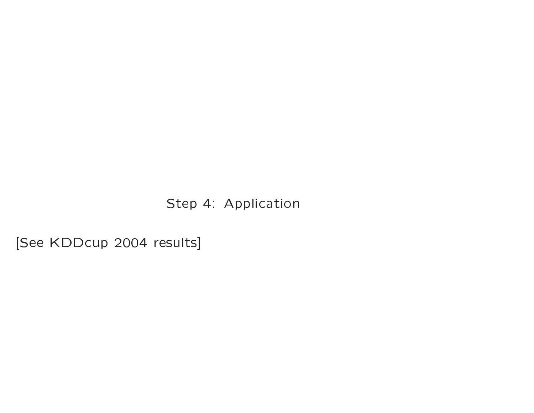Step 4: Application

[See KDDcup 2004 results]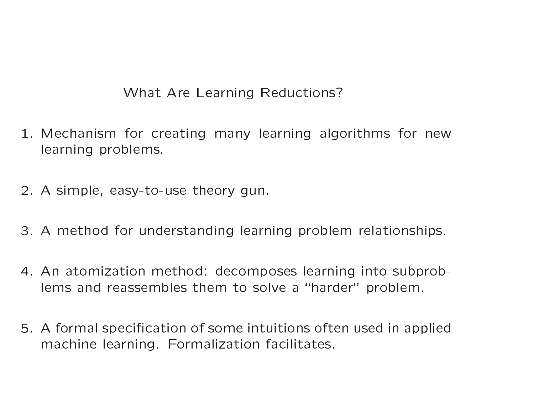# What Are Learning Reductions?

- 1. Mechanism for creating many learning algorithms for new learning problems.
- 2. A simple, easy-to-use theory gun.
- 3. A method for understanding learning problem relationships.
- 4. An atomization method: decomposes learning into subproblems and reassembles them to solve a "harder" problem.
- 5. A formal specification of some intuitions often used in applied machine learning. Formalization facilitates.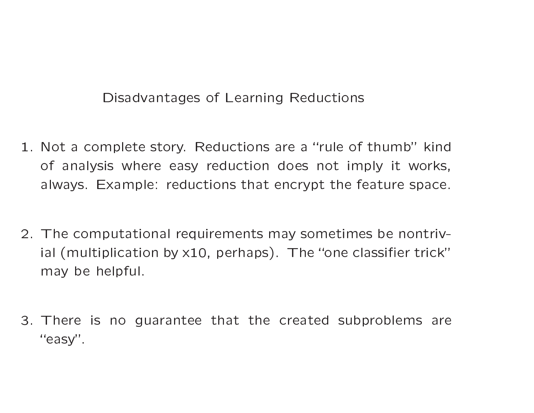### Disadvantages of Learning Reductions

- 1. Not a complete story. Reductions are a "rule of thumb" kind of analysis where easy reduction does not imply it works, always. Example: reductions that encrypt the feature space.
- 2. The computational requirements may sometimes be nontrivial (multiplication by  $x10$ , perhaps). The "one classifier trick" may be helpful.
- 3. There is no guarantee that the created subproblems are "easy".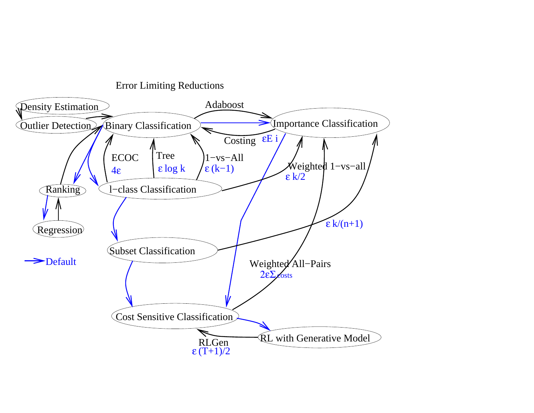

Error Limiting Reductions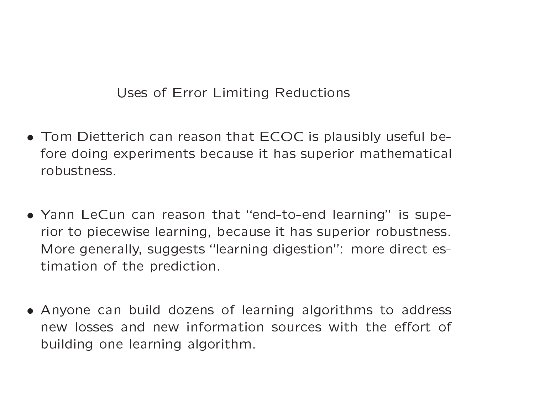Uses of Error Limiting Reductions

- Tom Dietterich can reason that ECOC is plausibly useful before doing experiments because it has superior mathematical robustness.
- Yann LeCun can reason that "end-to-end learning" is superior to piecewise learning, because it has superior robustness. More generally, suggests "learning digestion": more direct estimation of the prediction.
- Anyone can build dozens of learning algorithms to address new losses and new information sources with the effort of building one learning algorithm.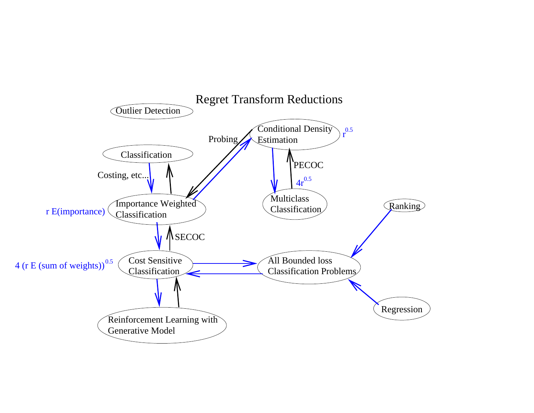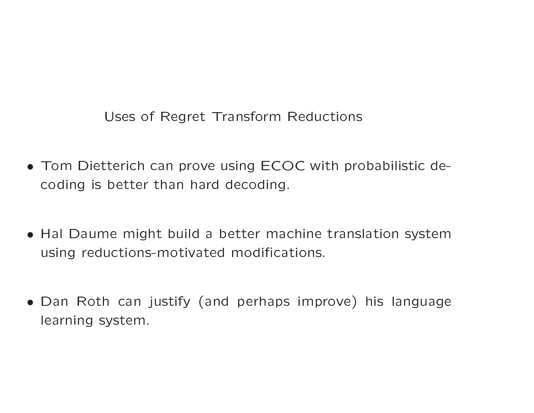Uses of Regret Transform Reductions

- Tom Dietterich can prove using ECOC with probabilistic decoding is better than hard decoding.
- Hal Daume might build a better machine translation system using reductions-motivated modifications.
- Dan Roth can justify (and perhaps improve) his language learning system.